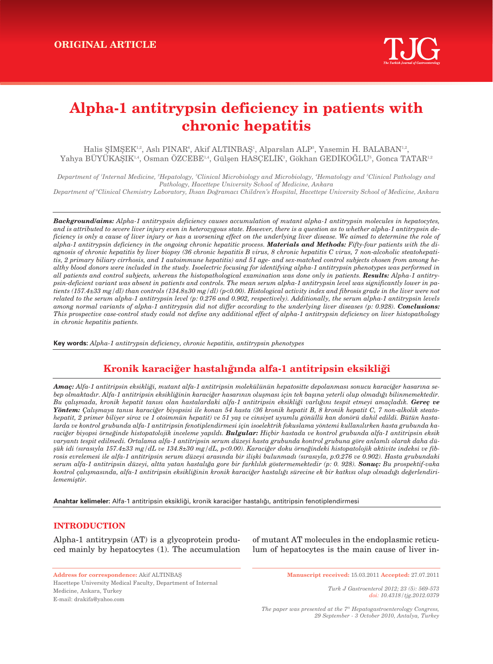# **Alpha-1 antitrypsin deficiency in patients with chronic hepatitis**

Halis ŞİMŞEK<sup>1,2</sup>, Aslı PINAR°, Akif ALTINBAŞ', Alparslan ALP°, Yasemin H. BALABAN<sup>1,2</sup>, Yahya BUYUKAŞIK $^{1,4}$ , Osman OZCEBE $^{1,4}$ , Gülşen HASÇELİK $^3$ , Gökhan GEDİKOGLU $^5$ , Gonca TATAR $^{1,2}$ 

*Department of 1 Internal Medicine, 2 Hepatology, 3 Clinical Microbiology and Microbiology, 4 Hematology and <sup>5</sup> Clinical Pathology and Pathology, Hacettepe University School of Medicine, Ankara*

*Department of 6 Clinical Chemistry Laboratory, ‹hsan Do¤ramac› Children's Hospital, Hacettepe University School of Medicine, Ankara*

*Background/aims: Alpha-1 antitrypsin deficiency causes accumulation of mutant alpha-1 antitrypsin molecules in hepatocytes, and is attributed to severe liver injury even in heterozygous state. However, there is a question as to whether alpha-1 antitrypsin deficiency is only a cause of liver injury or has a worsening effect on the underlying liver disease. We aimed to determine the role of alpha-1 antitrypsin deficiency in the ongoing chronic hepatitic process. Materials and Methods: Fifty-four patients with the diagnosis of chronic hepatitis by liver biopsy (36 chronic hepatitis B virus, 8 chronic hepatitis C virus, 7 non-alcoholic steatohepatitis, 2 primary biliary cirrhosis, and 1 autoimmune hepatitis) and 51 age- and sex-matched control subjects chosen from among healthy blood donors were included in the study. Isoelectric focusing for identifying alpha-1 antitrypsin phenotypes was performed in all patients and control subjects, whereas the histopathological examination was done only in patients. Results: Alpha-1 antitrypsin-deficient variant was absent in patients and controls. The mean serum alpha-1 antitrypsin level was significantly lower in patients (157.4±33 mg/dl) than controls (134.8±30 mg/dl) (p<0.00). Histological activity index and fibrosis grade in the liver were not related to the serum alpha-1 antitrypsin level (p: 0.276 and 0.902, respectively). Additionally, the serum alpha-1 antitrypsin levels* among normal variants of alpha-1 antitrypsin did not differ according to the underlying liver diseases (p: 0.928). **Conclusions:** *This prospective case-control study could not define any additional effect of alpha-1 antitrypsin deficiency on liver histopathology in chronic hepatitis patients.*

**Key words:** *Alpha-1 antitrypsin deficiency, chronic hepatitis, antitrypsin phenotypes*

# Kronik karaciğer hastalığında alfa-1 antitripsin eksikliği

**Amaç:** Alfa-1 antitripsin eksikliği, mutant alfa-1 antitripsin molekülünün hepatositte depolanması sonucu karaciğer hasarına se*bep olmaktadır. Alfa-1 antitripsin eksikliğinin karaciğer hasarının oluşması için tek başına yeterli olup olmadığı bilinmemektedir. Bu çal›flmada, kronik hepatit tan›s› olan hastalardaki alfa-1 antitripsin eksikli¤i varl›¤›n› tespit etmeyi amaçlad›k. Gereç ve* Yöntem: Calışmaya tanısı karaciğer biyopsisi ile konan 54 hasta (36 kronik hepatit B, 8 kronik hepatit C, 7 non-alkolik steatohepatit, 2 primer biliyer siroz ve 1 otoimmün hepatit) ve 51 yaş ve cinsiyet uyumlu gönüllü kan donörü dahil edildi. Bütün hastalarda ve kontrol grubunda alfa-1 antitripsin fenotiplendirmesi için isoelektrik fokuslama yöntemi kullanılırken hasta grubunda karaciğer biyopsi örneğinde histopatolojik inceleme yapıldı. **Bulgular:** Hiçbir hastada ve kontrol grubunda alfa-1 antitripsin eksik varyantı tespit edilmedi. Ortalama alfa-1 antitripsin serum düzeyi hasta grubunda kontrol grubuna göre anlamlı olarak daha dü*flük idi (s›ras›yla 157.4±33 mg/dL ve 134.8±30 mg/dL, p<0.00). Karaci¤er doku örne¤indeki histopatolojik aktivite indeksi ve fib*rosis evrelemesi ile alfa-1 antitripsin serum düzeyi arasında bir ilişki bulunmadı (sırasıyla, p:0.276 ve 0.902). Hasta grubundaki *serum alfa-1 antitripsin düzeyi, altta yatan hastal›¤a gore bir farkl›l›k göstermemektedir (p: 0. 928). Sonuç: Bu prospektif-vaka* kontrol çalışmasında, alfa-1 antitripsin eksikliğinin kronik karaciğer hastalığı sürecine ek bir katkısı olup olmadığı değerlendiri $l$ *ememiştir.* 

Anahtar kelimeler: Alfa-1 antitripsin eksikliği, kronik karaciğer hastalığı, antitripsin fenotiplendirmesi

# **INTRODUCTION**

Alpha-1 antitrypsin (AT) is a glycoprotein produced mainly by hepatocytes (1). The accumulation

of mutant AT molecules in the endoplasmic reticulum of hepatocytes is the main cause of liver in-

**Address for correspondence:** Akif ALTINBAfi Hacettepe University Medical Faculty, Department of Internal Medicine, Ankara, Turkey E-mail: drakifa@yahoo.com

**Manuscript received:** 15.03.2011 **Accepted:** 27.07.2011

*Turk J Gastroenterol 2012; 23 (5): 569-573 doi: 10.4318/tjg.2012.0379*

*The paper was presented at the 7th Hepatogastroenterology Congress, 29 September - 3 October 2010, Antalya, Turkey*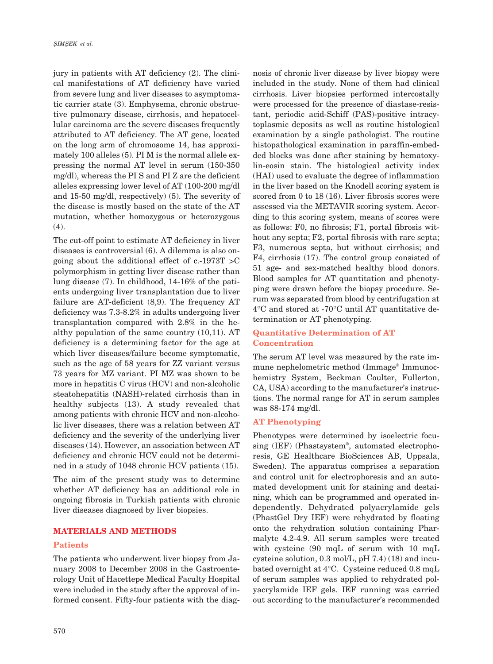jury in patients with AT deficiency (2). The clinical manifestations of AT deficiency have varied from severe lung and liver diseases to asymptomatic carrier state (3). Emphysema, chronic obstructive pulmonary disease, cirrhosis, and hepatocellular carcinoma are the severe diseases frequently attributed to AT deficiency. The AT gene, located on the long arm of chromosome 14, has approximately 100 alleles (5). PI M is the normal allele expressing the normal AT level in serum (150-350 mg/dl), whereas the PI S and PI Z are the deficient alleles expressing lower level of AT (100-200 mg/dl and 15-50 mg/dl, respectively) (5). The severity of the disease is mostly based on the state of the AT mutation, whether homozygous or heterozygous (4).

The cut-off point to estimate AT deficiency in liver diseases is controversial (6). A dilemma is also ongoing about the additional effect of  $c.-1973T > C$ polymorphism in getting liver disease rather than lung disease (7). In childhood, 14-16% of the patients undergoing liver transplantation due to liver failure are AT-deficient (8,9). The frequency AT deficiency was 7.3-8.2% in adults undergoing liver transplantation compared with 2.8% in the healthy population of the same country (10,11). AT deficiency is a determining factor for the age at which liver diseases/failure become symptomatic, such as the age of 58 years for ZZ variant versus 73 years for MZ variant. PI MZ was shown to be more in hepatitis C virus (HCV) and non-alcoholic steatohepatitis (NASH)-related cirrhosis than in healthy subjects (13). A study revealed that among patients with chronic HCV and non-alcoholic liver diseases, there was a relation between AT deficiency and the severity of the underlying liver diseases (14). However, an association between AT deficiency and chronic HCV could not be determined in a study of 1048 chronic HCV patients (15).

The aim of the present study was to determine whether AT deficiency has an additional role in ongoing fibrosis in Turkish patients with chronic liver diseases diagnosed by liver biopsies.

# **MATERIALS AND METHODS**

#### **Patients**

The patients who underwent liver biopsy from January 2008 to December 2008 in the Gastroenterology Unit of Hacettepe Medical Faculty Hospital were included in the study after the approval of informed consent. Fifty-four patients with the diagnosis of chronic liver disease by liver biopsy were included in the study. None of them had clinical cirrhosis. Liver biopsies performed intercostally were processed for the presence of diastase-resistant, periodic acid-Schiff (PAS)-positive intracytoplasmic deposits as well as routine histological examination by a single pathologist. The routine histopathological examination in paraffin-embedded blocks was done after staining by hematoxylin-eosin stain. The histological activity index (HAI) used to evaluate the degree of inflammation in the liver based on the Knodell scoring system is scored from 0 to 18 (16). Liver fibrosis scores were assessed via the METAVIR scoring system. According to this scoring system, means of scores were as follows: F0, no fibrosis; F1, portal fibrosis without any septa; F2, portal fibrosis with rare septa; F3, numerous septa, but without cirrhosis; and F4, cirrhosis (17). The control group consisted of 51 age- and sex-matched healthy blood donors. Blood samples for AT quantitation and phenotyping were drawn before the biopsy procedure. Serum was separated from blood by centrifugation at 4°C and stored at -70°C until AT quantitative determination or AT phenotyping.

# **Quantitative Determination of AT Concentration**

The serum AT level was measured by the rate immune nephelometric method (Immage® Immunochemistry System, Beckman Coulter, Fullerton, CA, USA) according to the manufacturer's instructions. The normal range for AT in serum samples was 88-174 mg/dl.

#### **AT Phenotyping**

Phenotypes were determined by isoelectric focusing (IEF) (Phastsystem® , automated electrophoresis, GE Healthcare BioSciences AB, Uppsala, Sweden). The apparatus comprises a separation and control unit for electrophoresis and an automated development unit for staining and destaining, which can be programmed and operated independently. Dehydrated polyacrylamide gels (PhastGel Dry IEF) were rehydrated by floating onto the rehydration solution containing Pharmalyte 4.2-4.9. All serum samples were treated with cysteine (90 mqL of serum with 10 mqL cysteine solution, 0.3 mol/L, pH 7.4) (18) and incubated overnight at 4°C. Cysteine reduced 0.8 mqL of serum samples was applied to rehydrated polyacrylamide IEF gels. IEF running was carried out according to the manufacturer's recommended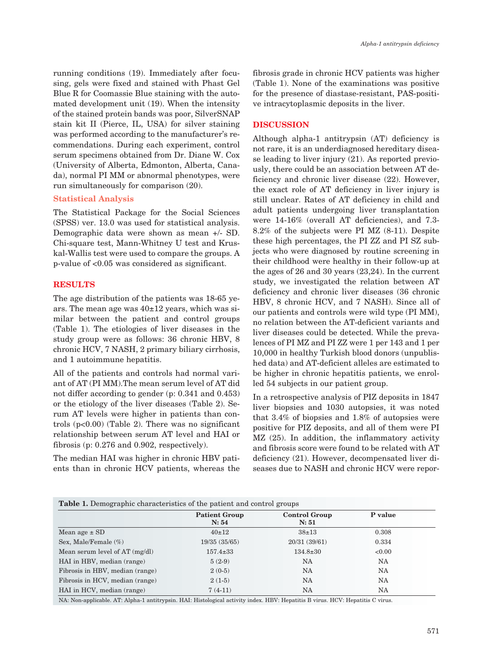running conditions (19). Immediately after focusing, gels were fixed and stained with Phast Gel Blue R for Coomassie Blue staining with the automated development unit (19). When the intensity of the stained protein bands was poor, SilverSNAP stain kit II (Pierce, IL, USA) for silver staining was performed according to the manufacturer's recommendations. During each experiment, control serum specimens obtained from Dr. Diane W. Cox (University of Alberta, Edmonton, Alberta, Canada), normal PI MM or abnormal phenotypes, were run simultaneously for comparison (20).

#### **Statistical Analysis**

The Statistical Package for the Social Sciences (SPSS) ver. 13.0 was used for statistical analysis. Demographic data were shown as mean +/- SD. Chi-square test, Mann-Whitney U test and Kruskal-Wallis test were used to compare the groups. A p-value of <0.05 was considered as significant.

# **RESULTS**

The age distribution of the patients was 18-65 years. The mean age was  $40\pm12$  years, which was similar between the patient and control groups (Table 1). The etiologies of liver diseases in the study group were as follows: 36 chronic HBV, 8 chronic HCV, 7 NASH, 2 primary biliary cirrhosis, and 1 autoimmune hepatitis.

All of the patients and controls had normal variant of AT (PI MM).The mean serum level of AT did not differ according to gender (p: 0.341 and 0.453) or the etiology of the liver diseases (Table 2). Serum AT levels were higher in patients than controls  $(p<0.00)$  (Table 2). There was no significant relationship between serum AT level and HAI or fibrosis (p: 0.276 and 0.902, respectively).

The median HAI was higher in chronic HBV patients than in chronic HCV patients, whereas the fibrosis grade in chronic HCV patients was higher (Table 1). None of the examinations was positive for the presence of diastase-resistant, PAS-positive intracytoplasmic deposits in the liver.

### **DISCUSSION**

Although alpha-1 antitrypsin (AT) deficiency is not rare, it is an underdiagnosed hereditary disease leading to liver injury (21). As reported previously, there could be an association between AT deficiency and chronic liver disease (22). However, the exact role of AT deficiency in liver injury is still unclear. Rates of AT deficiency in child and adult patients undergoing liver transplantation were 14-16% (overall AT deficiencies), and 7.3- 8.2% of the subjects were PI MZ (8-11). Despite these high percentages, the PI ZZ and PI SZ subjects who were diagnosed by routine screening in their childhood were healthy in their follow-up at the ages of 26 and 30 years (23,24). In the current study, we investigated the relation between AT deficiency and chronic liver diseases (36 chronic HBV, 8 chronic HCV, and 7 NASH). Since all of our patients and controls were wild type (PI MM), no relation between the AT-deficient variants and liver diseases could be detected. While the prevalences of PI MZ and PI ZZ were 1 per 143 and 1 per 10,000 in healthy Turkish blood donors (unpublished data) and AT-deficient alleles are estimated to be higher in chronic hepatitis patients, we enrolled 54 subjects in our patient group.

In a retrospective analysis of PIZ deposits in 1847 liver biopsies and 1030 autopsies, it was noted that 3.4% of biopsies and 1.8% of autopsies were positive for PIZ deposits, and all of them were PI MZ (25). In addition, the inflammatory activity and fibrosis score were found to be related with AT deficiency (21). However, decompensated liver diseases due to NASH and chronic HCV were repor-

| Table 1. Demographic characteristics of the patient and control groups |                               |                               |           |  |
|------------------------------------------------------------------------|-------------------------------|-------------------------------|-----------|--|
|                                                                        | <b>Patient Group</b><br>N: 54 | <b>Control Group</b><br>N: 51 | P value   |  |
| Mean age $\pm$ SD                                                      | 40±12                         | $38 \pm 13$                   | 0.308     |  |
| Sex, Male/Female $(\%)$                                                | 19/35(35/65)                  | 20/31 (39/61)                 | 0.334     |  |
| Mean serum level of $AT$ (mg/dl)                                       | $157.4 \pm 33$                | $134.8 \pm 30$                | <0.00     |  |
| HAI in HBV, median (range)                                             | $5(2-9)$                      | <b>NA</b>                     | <b>NA</b> |  |
| Fibrosis in HBV, median (range)                                        | $2(0-5)$                      | <b>NA</b>                     | <b>NA</b> |  |
| Fibrosis in HCV, median (range)                                        | $2(1-5)$                      | NA                            | <b>NA</b> |  |
| HAI in HCV, median (range)                                             | $7(4-11)$                     | NA                            | NA        |  |

NA: Non-applicable. AT: Alpha-1 antitrypsin. HAI: Histological activity index. HBV: Hepatitis B virus. HCV: Hepatitis C virus.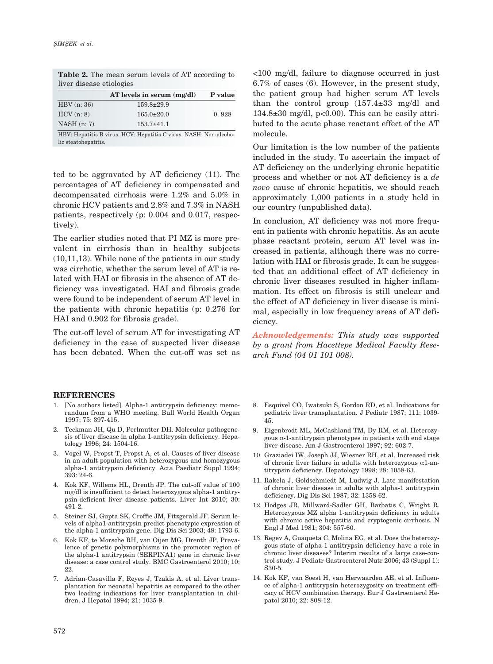| AT levels in serum $(mg/dl)$ | P value |  |  |  |
|------------------------------|---------|--|--|--|
| $159.8 \pm 29.9$             |         |  |  |  |
| $165.0 \pm 20.0$             | 0.928   |  |  |  |
| $153.7 \pm 41.1$             |         |  |  |  |
|                              |         |  |  |  |

**Table 2.** The mean serum levels of AT according to liver disease etiologies

HBV: Hepatitis B virus. HCV: Hepatitis C virus. NASH: Non-alcoholic steatohepatitis.

ted to be aggravated by AT deficiency (11). The percentages of AT deficiency in compensated and decompensated cirrhosis were 1.2% and 5.0% in chronic HCV patients and 2.8% and 7.3% in NASH patients, respectively (p: 0.004 and 0.017, respectively).

The earlier studies noted that PI MZ is more prevalent in cirrhosis than in healthy subjects (10,11,13). While none of the patients in our study was cirrhotic, whether the serum level of AT is related with HAI or fibrosis in the absence of AT deficiency was investigated. HAI and fibrosis grade were found to be independent of serum AT level in the patients with chronic hepatitis (p: 0.276 for HAI and 0.902 for fibrosis grade).

The cut-off level of serum AT for investigating AT deficiency in the case of suspected liver disease has been debated. When the cut-off was set as

<100 mg/dl, failure to diagnose occurred in just 6.7% of cases (6). However, in the present study, the patient group had higher serum AT levels than the control group  $(157.4\pm33 \text{ mg/dl}$  and 134.8 $\pm$ 30 mg/dl, p<0.00). This can be easily attributed to the acute phase reactant effect of the AT molecule.

Our limitation is the low number of the patients included in the study. To ascertain the impact of AT deficiency on the underlying chronic hepatitic process and whether or not AT deficiency is a *de novo* cause of chronic hepatitis, we should reach approximately 1,000 patients in a study held in our country (unpublished data).

In conclusion, AT deficiency was not more frequent in patients with chronic hepatitis. As an acute phase reactant protein, serum AT level was increased in patients, although there was no correlation with HAI or fibrosis grade. It can be suggested that an additional effect of AT deficiency in chronic liver diseases resulted in higher inflammation. Its effect on fibrosis is still unclear and the effect of AT deficiency in liver disease is minimal, especially in low frequency areas of AT deficiency.

*Acknowledgements: This study was supported by a grant from Hacettepe Medical Faculty Research Fund (04 01 101 008).* 

#### **REFERENCES**

- 1. [No authors listed]. Alpha-1 antitrypsin deficiency: memorandum from a WHO meeting. Bull World Health Organ 1997; 75: 397-415.
- 2. Teckman JH, Qu D, Perlmutter DH. Molecular pathogenesis of liver disease in alpha 1-antitrypsin deficiency. Hepatology 1996; 24: 1504-16.
- 3. Vogel W, Propst T, Propst A, et al. Causes of liver disease in an adult population with heterozygous and homozygous alpha-1 antitrypsin deficiency. Acta Paediatr Suppl 1994; 393: 24-6.
- 4. Kok KF, Willems HL, Drenth JP. The cut-off value of 100 mg/dl is insufficient to detect heterozygous alpha-1 antitrypsin-deficient liver disease patients. Liver Int 2010; 30: 491-2.
- 5. Steiner SJ, Gupta SK, Croffie JM, Fitzgerald JF. Serum levels of alpha1-antitrypsin predict phenotypic expression of the alpha-1 antitrypsin gene. Dig Dis Sci 2003; 48: 1793-6.
- 6. Kok KF, te Morsche RH, van Oijen MG, Drenth JP. Prevalence of genetic polymorphisms in the promoter region of the alpha-1 antitrypsin (SERPINA1) gene in chronic liver disease: a case control study. BMC Gastroenterol 2010; 10: 22.
- 7. Adrian-Casavilla F, Reyes J, Tzakis A, et al. Liver transplantation for neonatal hepatitis as compared to the other two leading indications for liver transplantation in children. J Hepatol 1994; 21: 1035-9.
- 8. Esquivel CO, Iwatsuki S, Gordon RD, et al. Indications for pediatric liver transplantation. J Pediatr 1987; 111: 1039- 45.
- 9. Eigenbrodt ML, McCashland TM, Dy RM, et al. Heterozygous  $\alpha$ -1-antitrypsin phenotypes in patients with end stage liver disease. Am J Gastroenterol 1997; 92: 602-7.
- 10. Graziadei IW, Joseph JJ, Wiesner RH, et al. Increased risk of chronic liver failure in adults with heterozygous  $\alpha$ 1-antitrypsin deficiency. Hepatology 1998; 28: 1058-63.
- 11. Rakela J, Goldschmiedt M, Ludwig J. Late manifestation of chronic liver disease in adults with alpha-1 antitrypsin deficiency. Dig Dis Sci 1987; 32: 1358-62.
- 12. Hodges JR, Millward-Sadler GH, Barbatis C, Wright R. Heterozygous MZ alpha 1-antitrypsin deficiency in adults with chronic active hepatitis and cryptogenic cirrhosis. N Engl J Med 1981; 304: 557-60.
- 13. Regev A, Guaqueta C, Molina EG, et al. Does the heterozygous state of alpha-1 antitrypsin deficiency have a role in chronic liver diseases? Interim results of a large case-control study. J Pediatr Gastroenterol Nutr 2006; 43 (Suppl 1): S30-5.
- 14. Kok KF, van Soest H, van Herwaarden AE, et al. Influence of alpha-1 antitrypsin heterozygosity on treatment efficacy of HCV combination therapy. Eur J Gastroenterol Hepatol 2010; 22: 808-12.